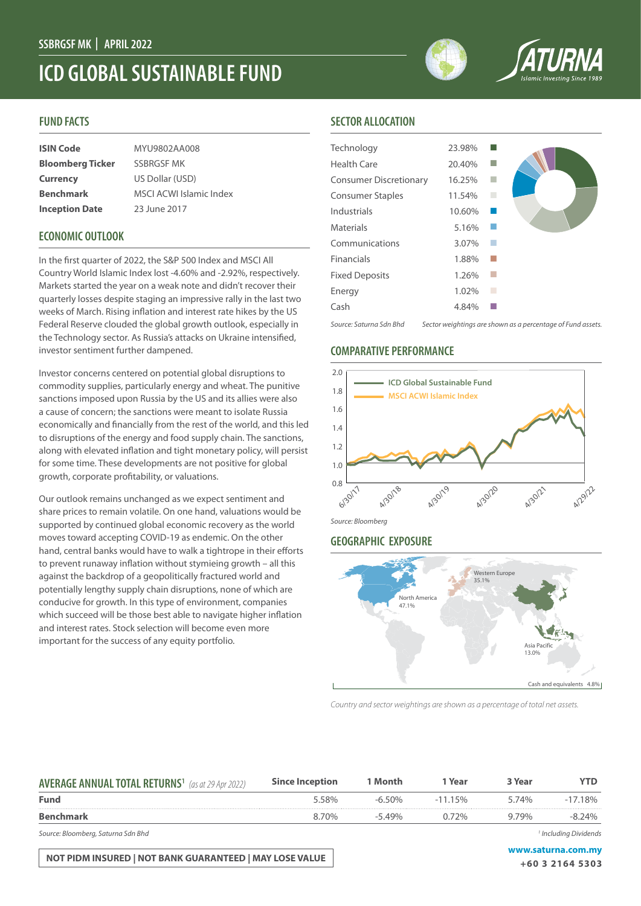# **ICD GLOBAL SUSTAINABLE FUND**

# **FUND FACTS**

| <b>ISIN Code</b>        | MYU9802AA008                   |
|-------------------------|--------------------------------|
| <b>Bloomberg Ticker</b> | <b>SSBRGSF MK</b>              |
| <b>Currency</b>         | US Dollar (USD)                |
| <b>Benchmark</b>        | <b>MSCI ACWI Islamic Index</b> |
| <b>Inception Date</b>   | 23 June 2017                   |

# **ECONOMIC OUTLOOK**

In the first quarter of 2022, the S&P 500 Index and MSCI All Country World Islamic Index lost -4.60% and -2.92%, respectively. Markets started the year on a weak note and didn't recover their quarterly losses despite staging an impressive rally in the last two weeks of March. Rising inflation and interest rate hikes by the US Federal Reserve clouded the global growth outlook, especially in the Technology sector. As Russia's attacks on Ukraine intensified, investor sentiment further dampened.

Investor concerns centered on potential global disruptions to commodity supplies, particularly energy and wheat. The punitive sanctions imposed upon Russia by the US and its allies were also a cause of concern; the sanctions were meant to isolate Russia economically and financially from the rest of the world, and this led to disruptions of the energy and food supply chain. The sanctions, along with elevated inflation and tight monetary policy, will persist for some time. These developments are not positive for global growth, corporate profitability, or valuations.

Our outlook remains unchanged as we expect sentiment and share prices to remain volatile. On one hand, valuations would be supported by continued global economic recovery as the world moves toward accepting COVID-19 as endemic. On the other hand, central banks would have to walk a tightrope in their efforts to prevent runaway inflation without stymieing growth – all this against the backdrop of a geopolitically fractured world and potentially lengthy supply chain disruptions, none of which are conducive for growth. In this type of environment, companies which succeed will be those best able to navigate higher inflation and interest rates. Stock selection will become even more important for the success of any equity portfolio.

# **SECTOR ALLOCATION**

| Technology                    | 23.98% |                                                             |
|-------------------------------|--------|-------------------------------------------------------------|
| <b>Health Care</b>            | 20.40% |                                                             |
| <b>Consumer Discretionary</b> | 16.25% |                                                             |
| <b>Consumer Staples</b>       | 11.54% |                                                             |
| Industrials                   | 10.60% |                                                             |
| <b>Materials</b>              | 5.16%  |                                                             |
| Communications                | 3.07%  |                                                             |
| Financials                    | 1.88%  |                                                             |
| <b>Fixed Deposits</b>         | 1.26%  |                                                             |
| Energy                        | 1.02%  |                                                             |
| Cash                          | 4.84%  |                                                             |
| Source: Saturna Sdn Bhd       |        | Sector weightings are shown as a percentage of Fund assets. |

## **COMPARATIVE PERFORMANCE**



# *Source: Bloomberg*

# **GEOGRAPHIC EXPOSURE**



*Country and sector weightings are shown as a percentage of total net assets.*

| <b>AVERAGE ANNUAL TOTAL RETURNS<sup>1</sup></b> (as at 29 Apr 2022) | <b>Since Inception</b> | 1 Month   | 1 Year     | 3 Year | YTD        |
|---------------------------------------------------------------------|------------------------|-----------|------------|--------|------------|
| <b>Fund</b>                                                         | 5.58%                  | $-6.50\%$ | $-11.15\%$ | 5.74%  | $-17.18\%$ |
| <b>Benchmark</b>                                                    | 8.70%                  | $-5.49\%$ | $0.72\%$   | 9.79%  | $-8.24\%$  |
|                                                                     |                        |           |            |        |            |

*Source: Bloomberg, Saturna Sdn Bhd 1*

**NOT PIDM INSURED | NOT BANK GUARANTEED | MAY LOSE VALUE WAS ARRIVED AND MY WAS A LOSE OF A STAR FOOT** 

 *Including Dividends*

**+60 3 2164 5303**